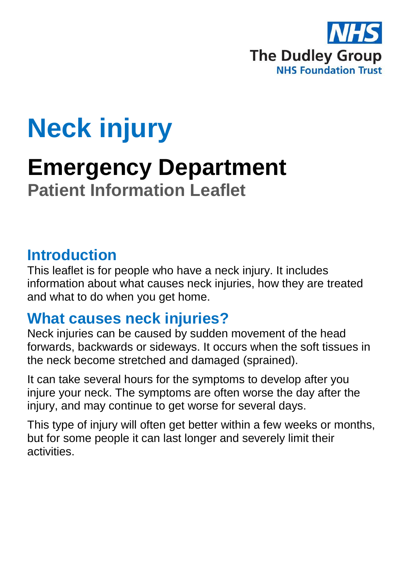

# **Neck injury**

## **Emergency Department Patient Information Leaflet**

### **Introduction**

This leaflet is for people who have a neck injury. It includes information about what causes neck injuries, how they are treated and what to do when you get home.

## **What causes neck injuries?**

Neck injuries can be caused by sudden movement of the head forwards, backwards or sideways. It occurs when the soft tissues in the neck become stretched and damaged (sprained).

It can take several hours for the symptoms to develop after you injure your neck. The symptoms are often worse the day after the injury, and may continue to get worse for several days.

This type of injury will often get better within a few weeks or months, but for some people it can last longer and severely limit their activities.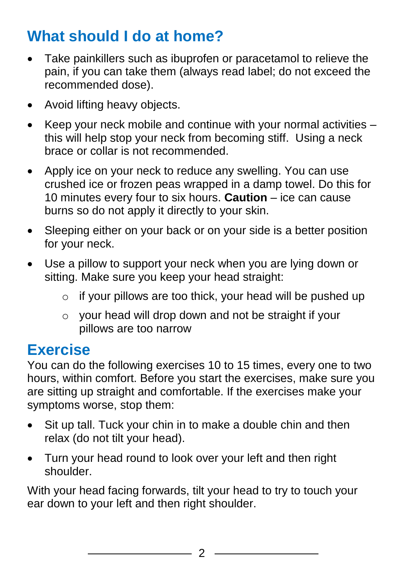## **What should I do at home?**

- Take painkillers such as ibuprofen or paracetamol to relieve the pain, if you can take them (always read label; do not exceed the recommended dose).
- Avoid lifting heavy objects.
- $\bullet$  Keep your neck mobile and continue with your normal activities  $$ this will help stop your neck from becoming stiff. Using a neck brace or collar is not recommended.
- Apply ice on your neck to reduce any swelling. You can use crushed ice or frozen peas wrapped in a damp towel. Do this for 10 minutes every four to six hours. **Caution** – ice can cause burns so do not apply it directly to your skin.
- Sleeping either on your back or on your side is a better position for your neck.
- Use a pillow to support your neck when you are lying down or sitting. Make sure you keep your head straight:
	- $\circ$  if your pillows are too thick, your head will be pushed up
	- o your head will drop down and not be straight if your pillows are too narrow

### **Exercise**

You can do the following exercises 10 to 15 times, every one to two hours, within comfort. Before you start the exercises, make sure you are sitting up straight and comfortable. If the exercises make your symptoms worse, stop them:

- Sit up tall. Tuck your chin in to make a double chin and then relax (do not tilt your head).
- Turn your head round to look over your left and then right shoulder.

With your head facing forwards, tilt your head to try to touch your ear down to your left and then right shoulder.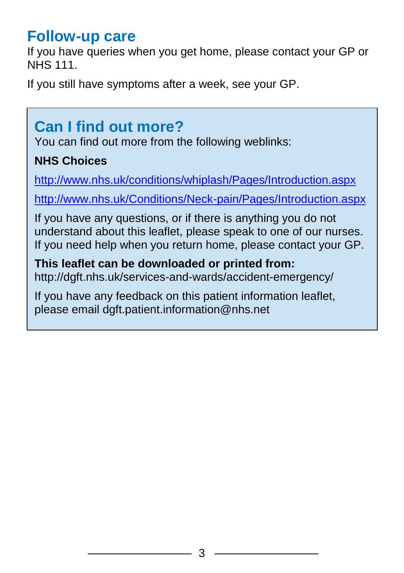## **Follow-up care**

If you have queries when you get home, please contact your GP or NHS 111.

If you still have symptoms after a week, see your GP.

## **Can I find out more?**

You can find out more from the following weblinks:

#### **NHS Choices**

<http://www.nhs.uk/conditions/whiplash/Pages/Introduction.aspx>

<http://www.nhs.uk/Conditions/Neck-pain/Pages/Introduction.aspx>

If you have any questions, or if there is anything you do not understand about this leaflet, please speak to one of our nurses. If you need help when you return home, please contact your GP.

**This leaflet can be downloaded or printed from:** http://dgft.nhs.uk/services-and-wards/accident-emergency/

If you have any feedback on this patient information leaflet, please email dgft.patient.information@nhs.net